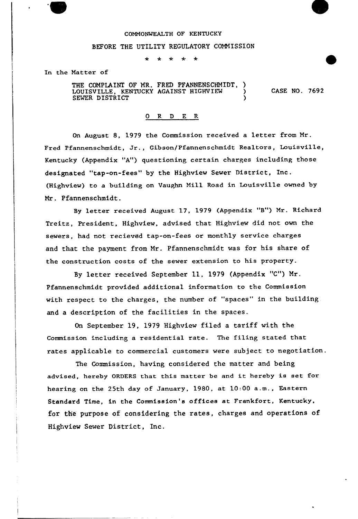## COMMONWEALTH OF KENTUCKY

#### BEFORE THE UTILITY REGULATORY COMMISSION

 $\star$  $\star$  $\star$  $\star$ 

In the Matter of

THE COMPLAINT OF MR. FRED PFANNENSCHMIDT, LOUISVILLE, KENTUCKY AGAINST HIGHVIEW SEWER DISTRICT

CASE NO. 7692

## 0 R <sup>D</sup> E R

On August 8, 1979 the Commission received <sup>a</sup> letter from Mr . Fred Pfannenschmidt, Jr., Gibson/Pfannenschmidt Realtors, Louisville, Kentucky (Appendix "A") questioning certain charges including those designated "tap-on-fees" by the Highview Sewer District, Inc. (Highview) to a building on Vaughn Mill Road in Louisville owned by Mr. Pfannenschmidt.

By letter received August 17, 1979 (Appendix "B") Mr. Richard Treitz, President, Highview, advised that Highview did not own the sewers, had not recieved tap-on-fees or monthly service charges and that the payment from Mr. Pfannenschmidt was for his share of the construction costs of the sewer extension to his property.

By letter received September 11, 1979 {Appendix "C") Mr. Pfannenschmidt provided additional information to the Commission with respect to the charges, the number of "spaces" in the building. and a description of the facilities in the spaces.

On September 19, 1979 Highview filed a tariff with the Commission including a residential rate. The filing stated that rates applicable to commercial customers were subject to negotiation.

The Commission, having considered the matter and being advised, hereby ORDERS that this matter be and it hereby is set for hearing on the 25th day of January, 1980, at 10:00 a.m., Eastern Standard Time, in the Commission's offices at Frankfort, Kentucky, for the purpose of considering the rates, charges and operations of Highview Sewer District, Inc.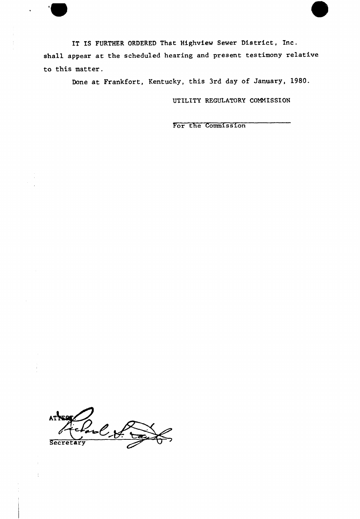IT IS FURTHER ORDERED That Highview Sewer District, Inc. shall appear at the scheduled hearing and present testimony relative to this matter.

Done at Frankfort, Kentucky, this 3rd day of January, 1980.

UTILITY REGULATORY COMMISSION

For the Commis sion

AT FEST  $ATX = C \times C$ 

 $\bar{z}$ 

 $\ddot{\cdot}$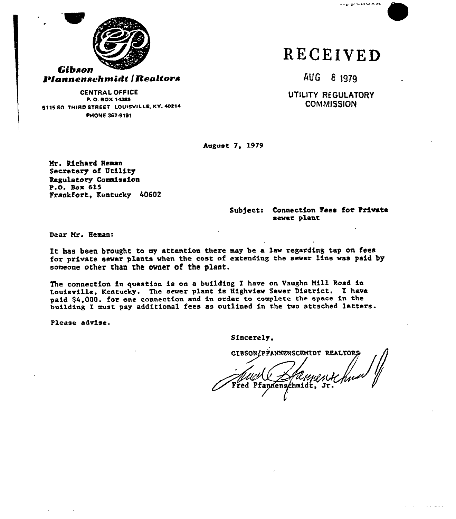

RECEIVED

AUG 8 1979

 $-$ rr $-$ ntuka

UTILITY REGULATORY **COMMISSION** 

CENTRAL 0FFICE P. O. SOX 14385 S115 SO. THIRD STREET LOUISVILLE, KY. 40214 PHONE 367.8101

August 7, 1979

Hr. Richard Heaan Secretary of Utility Regulatory Commission P.O. Box 615 Frankfort, Kentucky 40602

#### Subject: Connection Fees for Private sever plant

Dear Nr. Hcman:

It has been brought to my attention there may be <sup>a</sup> lav regarding tap on fees for private sever plants vhen the cost of extending the sever line vas paid by someone other than the ovner of the plant.

The connection in question is on a building I have on Vaughn Mill Road in Louisville, Kentucky. The sever plant is Highview Sever District. I have paid \$4,000. for one connection and in order to complete the space in the building I must pay additional fees as outlined in thc tvo attached letters.

Please advise.

Sincerely,

GIBSON/PFANNENSCHHIDT REALTORS red Pfannenschmidt, Jr.

والمساريب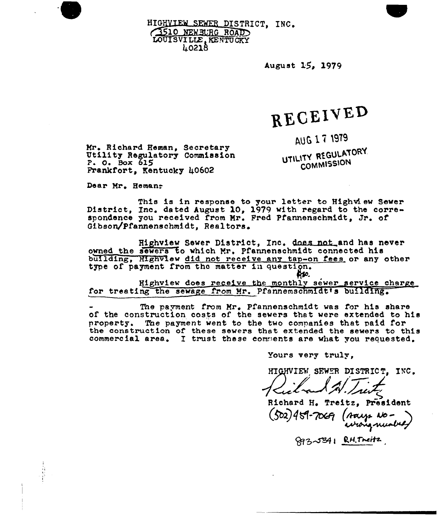HIGHVIEW SEWER DISTRICT, INC. 1510 NEWSURG ROAD LOUISVILLE, KENTUCKY g02lh

August 15~ 1979

# RECEIVED

AUG 17 1979

UTILITY REGULATORY COMMISSION

Mr. Richard Heman, Secretary<br>Utility Regulatory Commission<br>?. 0. Box 615 Frankfort, Kentucky 40602

Dear Mr. Heman:

This is in response to your letter to Highview Sewer<br>District, Inc. dated August 10, 1979 with regard to the correspondence you received from Mr. Fred Pfannenschmidt. Jr. of Gibson/pfannenschmidt, Realtors

Highview Sewer District, Inc. does not and has never owned the sewers to which Nr. pfannenschmidt connected his building, Highview did not receive any tap-on fees or any other type of payment from the matter in question.

Highview does receive the monthly sewer service charge for treating the sewage from Mr. Pfannemschmidt's building.

The pavment from Mr, pfannenschmidt was for his share of the construction costs of the sewers that were extended to his property. The payment went to the two companies that paid for the construction of these sewers that extended the sewers to this commercial area. I trust these comments are what you requested.

Yours very truly,

HIGHVIEW SEWER DISTRICT. INC.

Richard H. Treitz, President (502) 459-7069 (says No-<br>(survey mong musika)

893-5341 RH. Treitz